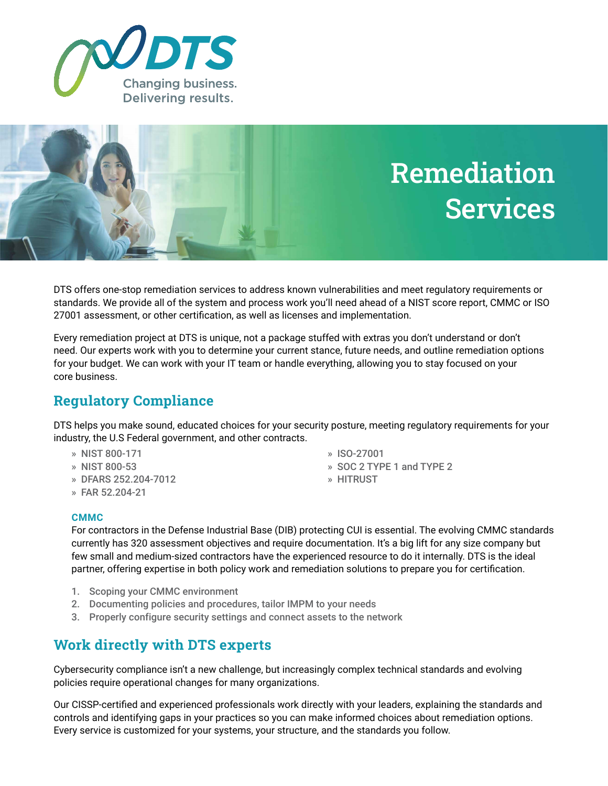



DTS offers one-stop remediation services to address known vulnerabilities and meet regulatory requirements or standards. We provide all of the system and process work you'll need ahead of a NIST score report, CMMC or ISO 27001 assessment, or other certification, as well as licenses and implementation.

Every remediation project at DTS is unique, not a package stuffed with extras you don't understand or don't need. Our experts work with you to determine your current stance, future needs, and outline remediation options for your budget. We can work with your IT team or handle everything, allowing you to stay focused on your core business.

## **Regulatory Compliance**

DTS helps you make sound, educated choices for your security posture, meeting regulatory requirements for your industry, the U.S Federal government, and other contracts.

- » NIST 800-171
- » NIST 800-53
- » DFARS 252.204-7012
- » FAR 52.204-21
- » ISO-27001
- » SOC 2 TYPE 1 and TYPE 2
- » HITRUST

#### **CMMC**

For contractors in the Defense Industrial Base (DIB) protecting CUI is essential. The evolving CMMC standards currently has 320 assessment objectives and require documentation. It's a big lift for any size company but few small and medium-sized contractors have the experienced resource to do it internally. DTS is the ideal partner, offering expertise in both policy work and remediation solutions to prepare you for certification.

- 1. Scoping your CMMC environment
- 2. Documenting policies and procedures, tailor IMPM to your needs
- 3. Properly configure security settings and connect assets to the network

### **Work directly with DTS experts**

Cybersecurity compliance isn't a new challenge, but increasingly complex technical standards and evolving policies require operational changes for many organizations.

Our CISSP-certified and experienced professionals work directly with your leaders, explaining the standards and controls and identifying gaps in your practices so you can make informed choices about remediation options. Every service is customized for your systems, your structure, and the standards you follow.